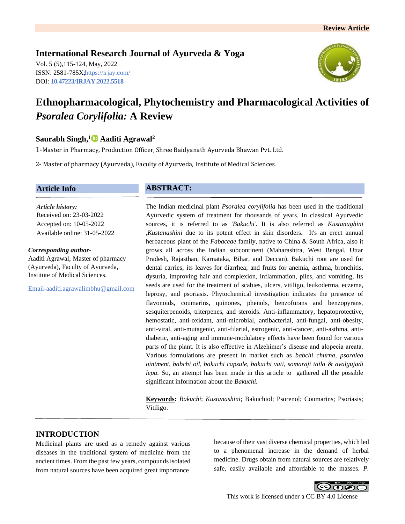**International Research Journal of Ayurveda & Yoga** Vol. 5 (5),115-124, May, 2022 ISSN: 2581-785[X; https://irjay.com/](https://irjay.com/) DOI: **10.47223/IRJAY.2022.5518**



# **Ethnopharmacological, Phytochemistry and Pharmacological Activities of**  *Psoralea Corylifolia:* **A Review**

# **Saurabh Singh, <sup>1</sup> Aaditi Agrawal<sup>2</sup>**

1-Master in Pharmacy, Production Officer, Shree Baidyanath Ayurveda Bhawan Pvt. Ltd.

2- Master of pharmacy (Ayurveda), Faculty of Ayurveda, Institute of Medical Sciences.

# **Article Info**

*Article history:* Received on: 23-03-2022 Accepted on: 10-05-2022 Available online: 31-05-2022

#### *Corresponding author-*

Aaditi Agrawal, Master of pharmacy (Ayurveda), Faculty of Ayurveda, Institute of Medical Sciences.

Email-aaditi.agrawalimbhu@gmail.com

## **ABSTRACT:**

The Indian medicinal plant *Psoralea corylifolia* has been used in the traditional Ayurvedic system of treatment for thousands of years. In classical Ayurvedic sources, it is referred to as '*Bakuchi*'. It is also referred as *Kustanaghini ,Kustanashini* due to its potent effect in skin disorders. It's an erect annual herbaceous plant of the *Fabaceae* family, native to China & South Africa, also it grows all across the Indian subcontinent (Maharashtra, West Bengal, Uttar Pradesh, Rajasthan, Karnataka, Bihar, and Deccan). Bakuchi root are used for dental carries; its leaves for diarrhea; and fruits for anemia, asthma, bronchitis, dysuria, improving hair and complexion, inflammation, piles, and vomiting, Its seeds are used for the treatment of scabies, ulcers, vitiligo, leukoderma, eczema, leprosy, and psoriasis. Phytochemical investigation indicates the presence of flavonoids, coumarins, quinones, phenols, benzofurans and benzopyrans, sesquiterpenoids, triterpenes, and steroids. Anti-inflammatory, hepatoprotective, hemostatic, anti-oxidant, anti-microbial, antibacterial, anti-fungal, anti-obesity, anti-viral, anti-mutagenic, anti-filarial, estrogenic, anti-cancer, anti-asthma, antidiabetic, anti-aging and immune-modulatory effects have been found for various parts of the plant. It is also effective in Alzehimer's disease and alopecia areata. Various formulations are present in market such as *babchi churna, psoralea ointment, babchi oil, bakuchi capsule, bakuchi vati, somaraji taila* & *avalgujadi lepa.* So, an attempt has been made in this article to gathered all the possible significant information about the *Bakuchi.*

**Keywords:** *Bakuchi*; *Kustanashini*; Bakuchiol; Psorenol; Coumarins; Psoriasis; Vitiligo.

# **INTRODUCTION**

Medicinal plants are used as a remedy against various diseases in the traditional system of medicine from the ancient times. From the past few years, compounds isolated from natural sources have been acquired great importance

because of their vast diverse chemical properties, which led to a phenomenal increase in the demand of herbal medicine. Drugs obtain from natural sources are relatively safe, easily available and affordable to the masses. *P.* 

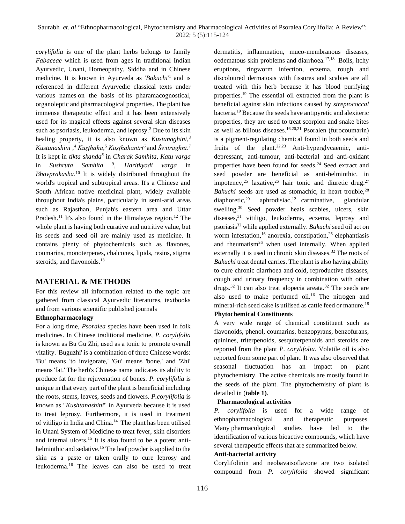*corylifolia* is one of the plant herbs belongs to family *Fabaceae* which is used from ages in traditional Indian Ayurvedic, Unani, Homeopathy, Siddha and in Chinese medicine. It is known in Ayurveda as '*Bakuchi*' 1 and is referenced in different Ayurvedic classical texts under various names on the basis of its pharamacognostical, organoleptic and pharmacological properties. The plant has immense therapeutic effect and it has been extensively used for its magical effects against several skin diseases such as psoriasis, leukoderma, and leprosy.<sup>2</sup> Due to its skin healing property, it is also known as *Kustanaghini*, 3 *Kustanashini* , <sup>4</sup> *Kuṣṭhaha*, <sup>5</sup> *Kuṣṭhahantrī<sup>6</sup>* and *Świtraghnī*. 7 It is kept in *tikta skanda<sup>8</sup>* in *Charak Samhita*, *Katu varga* in *Sushruta Samhita* <sup>9</sup> , *Haritkyadi varga* in *Bhavprakasha*. <sup>10</sup> It is widely distributed throughout the world's tropical and subtropical areas. It's a Chinese and South African native medicinal plant, widely available throughout India's plains, particularly in semi-arid areas such as Rajasthan, Punjab's eastern area and Uttar Pradesh.<sup>11</sup> It's also found in the Himalayas region.<sup>12</sup> The whole plant is having both curative and nutritive value, but its seeds and seed oil are mainly used as medicine. It contains plenty of phytochemicals such as flavones, coumarins, monoterpenes, chalcones, lipids, resins, stigma steroids, and flavonoids.<sup>13</sup>

# **MATERIAL & METHODS**

For this review all information related to the topic are gathered from classical Ayurvedic literatures, textbooks and from various scientific published journals

# **Ethnopharmacology**

For a long time, *Psoralea* species have been used in folk medicines. In Chinese traditional medicine, *P. corylifolia* is known as Bu Gu Zhi, used as a tonic to promote overall vitality. 'Buguzhi' is a combination of three Chinese words: 'Bu' means 'to invigorate,' 'Gu' means 'bone,' and 'Zhi' means 'fat.' The herb's Chinese name indicates its ability to produce fat for the rejuvenation of bones. *P. corylifolia* is unique in that every part of the plant is beneficial including the roots, stems, leaves, seeds and flowers. *P.corylifolia* is known as "*Kushtanashini*" in Ayurveda because it is used to treat leprosy. Furthermore, it is used in treatment of vitiligo in India and China.<sup>14</sup> The plant has been utilised in Unani System of Medicine to treat fever, skin disorders and internal ulcers.<sup>15</sup> It is also found to be a potent antihelminthic and sedative.<sup>16</sup> The leaf powder is applied to the skin as a paste or taken orally to cure leprosy and leukoderma.<sup>16</sup> The leaves can also be used to treat

dermatitis, inflammation, muco-membranous diseases, oedematous skin problems and diarrhoea.<sup>17,18</sup> Boils, itchy eruptions, ringworm infection, eczema, rough and discoloured dermatosis with fissures and scabies are all treated with this herb because it has blood purifying properties.<sup>19</sup> The essential oil extracted from the plant is beneficial against skin infections caused by *streptococcal* bacteria.<sup>19</sup> Because the seeds have antipyretic and alexiteric properties, they are used to treat scorpion and snake bites as well as bilious diseases.16,20,21 Psoralen (furocoumarin) is a pigment-regulating chemical found in both seeds and fruits of the plant.22,23 Anti-hyperglycaemic, antidepressant, anti-tumour, anti-bacterial and anti-oxidant properties have been found for seeds.<sup>24</sup> Seed extract and seed powder are beneficial as anti-helminthic, in impotency,<sup>25</sup> laxative,<sup>26</sup> hair tonic and diuretic drug.<sup>27</sup> *Bakuchi* seeds are used as stomachic, in heart trouble,<sup>28</sup> diaphoretic,<sup>29</sup> aphrodisiac, $12$  carminative, glandular swelling.<sup>30</sup> Seed powder heals scabies, ulcers, skin diseases,<sup>31</sup> vitiligo, leukoderma, eczema, leprosy and psoriasis<sup>32</sup> while applied externally. *Bakuchi* seed oil act on worm infestation,<sup>16</sup> anorexia, constipation,<sup>26</sup> elephantiasis and rheumatism<sup>26</sup> when used internally. When applied externally it is used in chronic skin diseases.<sup>32</sup> The roots of *Bakuchi* treat dental carries. The plant is also having ability to cure chronic diarrhoea and cold, reproductive diseases, cough and urinary frequency in combination with other drugs.<sup>32</sup> It can also treat alopecia areata.<sup>32</sup> The seeds are also used to make perfumed oil.<sup>16</sup> The nitrogen and mineral-rich seed cake is utilised as cattle feed or manure.<sup>18</sup> **Phytochemical Constituents**

A very wide range of chemical constituent such as flavonoids, phenol, coumarins, benzopyrans, benzofurans, quinines, triterpenoids, sesquiterpenoids and steroids are reported from the plant *P. corylifolia*. Volatile oil is also reported from some part of plant. It was also observed that seasonal fluctuation has an impact on plant phytochemistry. The active chemicals are mostly found in the seeds of the plant. The phytochemistry of plant is detailed in (**table 1)**.

# **Pharmacological activities**

*P. corylifolia* is used for a wide range of ethnopharmacological and therapeutic purposes. Many pharmacological studies have led to the identification of various bioactive compounds, which have several therapeutic effects that are summarized below.

#### **Anti-bacterial activity**

Corylifolinin and neobavaisoflavone are two isolated compound from *P. corylifolia* showed significant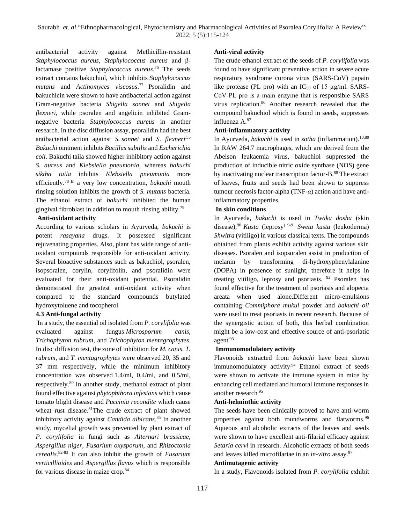antibacterial activity against Methicillin-resistant *Staphylococcus aureus*, *Staphylococcus aureus* and β‐ lactamase positive *Staphylococcus aureus*. <sup>76</sup> The seeds extract contains bakuchiol, which inhibits *Staphylococcus*  mutans and *Actinomyces viscosus*.<sup>77</sup> Psoralidin and bakuchicin were shown to have antibacterial action against Gram-negative bacteria *Shigella sonnei* and *Shigella flexneri*, while psoralen and angelicin inhibited Gramnegative bacteria *Staphylococcus aureus* in another research. In the disc diffusion assay, psoralidin had the best antibacterial action against *S. sonnei* and *S. flexneri*.55 *Bakuchi* ointment inhibits *Bacillus subtilis* and *Escherichia coli*. Bakuchi taila showed higher inhibitory action against *S. aureus* and *Klebsiella pneumonia*, whereas *bakuchi siktha taila* inhibits *Klebsiella pneumonia* more efficiently.78 In a very low concentration, *bakuchi* mouth rinsing solution inhibits the growth of *S. mutans* bacteria. The ethanol extract of *bakuchi* inhibited the human gingival fibroblast in addition to mouth rinsing ability.<sup>79</sup>

# **Anti-oxidant activity**

According to various scholars in Ayurveda, *bakuchi* is potent *rasayana* drugs. It possessed significant rejuvenating properties. Also, plant has wide range of antioxidant compounds responsible for anti-oxidant activity. Several bioactive substances such as bakuchiol, psoralen, isopsoralen, corylin, corylifolin, and psoralidin were evaluated for their anti-oxidant potential. Psoralidin demonstrated the greatest anti-oxidant activity when compared to the standard compounds butylated hydroxytoluene and tocopherol

# **4.3 Anti-fungal activity**

In a study, the essential oil isolated from *P. corylifolia* was evaluated against fungus *Microsporum canis, Trichophyton rubrum,* and *Trichophyton mentagrophytes*. In disc diffusion test, the zone of inhibition for *M. canis, T. rubrum*, and *T. mentagrophytes* were observed 20, 35 and 37 mm respectively, while the minimum inhibitory concentration was observed 1.4/ml, 0.4/ml, and 0.5/ml, respectively.<sup>80</sup> In another study, methanol extract of plant found effective against *phytophthora infestans* which cause tomato blight disease and *Puccinia recondite* which cause wheat rust disease.<sup>81</sup>The crude extract of plant showed inhibitory activity against *Candida albicans*. <sup>85</sup> In another study, mycelial growth was prevented by plant extract of *P. corylifolia* in fungi such as *Alternari brassicae*, *Aspergillus niger*, *Fusarium oxysporum*, and *Rhizoctonia cerealis*. 82-83 It can also inhibit the growth of *Fusarium verticillioides* and *Aspergillus flavus* which is responsible for various disease in maize crop.<sup>84</sup>

## **Anti-viral activity**

The crude ethanol extract of the seeds of *P. corylifolia* was found to have significant preventive action in severe acute respiratory syndrome corona virus (SARS-CoV) papain like protease (PL pro) with an  $IC_{50}$  of 15  $\mu$ g/ml. SARS– CoV‐PL pro is a main enzyme that is responsible SARS virus replication.<sup>86</sup> Another research revealed that the compound bakuchiol which is found in seeds, suppresses influenza A.<sup>87</sup>

# **Anti-inflammatory activity**

In Ayurveda, *bakuchi* is used in *sotha* (inflammation).10,89 In RAW 264.7 macrophages, which are derived from the Abelson leukaemia virus, bakuchiol suppressed the production of inducible nitric oxide synthase (NOS) gene by inactivating nuclear transcription factor-B.<sup>88</sup> The extract of leaves, fruits and seeds had been shown to suppress tumour necrosis factor-alpha (TNF*-α*) action and have antiinflammatory properties.

## **In skin conditions**

In Ayurveda, *bakuchi* is used in *Twaka dosha* (skin disease),<sup>90</sup>*Kusta* (leprosy) 9-91 *Sweta kusta* (leukoderma) *Shwitra* (vitiligo) in various classical texts. The compounds obtained from plants exhibit activity against various skin diseases. Psoralen and isopsoralen assist in production of melanin by transforming di-hydroxyphenylalanine (DOPA) in presence of sunlight, therefore it helps in treating vitiligo, leprosy and psoriasis. <sup>92</sup> Psoralen has found effective for the treatment of psoriasis and alopecia areata when used alone.Different micro-emulsions containing *Commiphora mukul* powder and *bakuchi oil* were used to treat psoriasis in recent research. Because of the synergistic action of both, this herbal combination might be a low-cost and effective source of anti-psoriatic agent.93

# **Immunomodulatory activity**

Flavonoids extracted from *bakuchi* have been shown immunomodulatory activity.<sup>94</sup> Ethanol extract of seeds were shown to activate the immune system in mice by enhancing cell mediated and humoral immune responses in another research.95

#### **Anti-helminthic activity**

The seeds have been clinically proved to have anti-worm properties against both roundworms and flatworms.<sup>96</sup> Aqueous and alcoholic extracts of the leaves and seeds were shown to have excellent anti-filarial efficacy against *Setaria cervi* in research. Alcoholic extracts of both seeds and leaves killed microfilariae in an *in-vitro* assay.<sup>97</sup>

#### **Antimutagenic activity**

In a study, Flavonoids isolated from *P. corylifolia* exhibit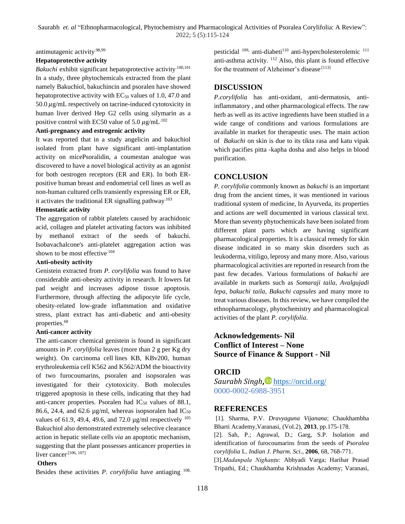#### antimutagenic activity.98,99

# **Hepatoprotective activity**

*Bakuchi* exhibit significant hepatoprotective activity.100,101 In a study, three phytochemicals extracted from the plant namely Bakuchiol, bakuchincin and psoralen have showed hepatoprotective activity with  $EC_{50}$  values of 1.0, 47.0 and  $50.0 \mu$ g/mL respectively on tacrine-induced cytotoxicity in human liver derived Hep G2 cells using silymarin as a positive control with EC50 value of 5.0  $\mu$ g/mL<sup>.102</sup>

# **Anti-pregnancy and estrogenic activity**

It was reported that in a study angelicin and bakuchiol isolated from plant have significant anti-implantation activity on micePsoralidin, a coumestan analogue was discovered to have a novel biological activity as an agonist for both oestrogen receptors (ER and ER). In both ERpositive human breast and endometrial cell lines as well as non-human cultured cells transiently expressing ER or ER, it activates the traditional ER signalling pathway.103

#### **Hemostatic activity**

The aggregation of rabbit platelets caused by arachidonic acid, collagen and platelet activating factors was inhibited by methanol extract of the seeds of bakuchi. Isobavachalcone's anti-platelet aggregation action was shown to be most effective.<sup>104</sup>

## **Anti‐obesity activity**

Genistein extracted from *P. corylifolia* was found to have considerable anti-obesity activity in research. It lowers fat pad weight and increases adipose tissue apoptosis. Furthermore, through affecting the adipocyte life cycle, obesity-related low-grade inflammation and oxidative stress, plant extract has anti-diabetic and anti-obesity properties.<sup>68</sup>

## **Anti-cancer activity**

The anti-cancer chemical genistein is found in significant amounts in *P. corylifolia* leaves (more than 2 g per Kg dry weight). On carcinoma cell lines KB, KBv200, human erythroleukemia cell K562 and K562/ADM the bioactivity of two furocoumarins, psoralen and isopsoralen was investigated for their cytotoxicity. Both molecules triggered apoptosis in these cells, indicating that they had anti-cancer properties. Psoralen had  $IC_{50}$  values of 88.1, 86.6, 24.4, and 62.6  $\mu$ g/ml, whereas isopsoralen had IC<sub>50</sub> values of 61.9, 49.4, 49.6, and 72.0 µg/ml respectively <sup>105</sup> Bakuchiol also demonstrated extremely selective clearance action in hepatic stellate cells *via* an apoptotic mechanism, suggesting that the plant possesses anticancer properties in liver cancer<sup>[106, 107]</sup>

#### **Others**

Besides these activities *P. corylifolia* have antiaging 108,

pesticidal <sup>109,</sup> anti-diabeti<sup>110</sup> anti-hypercholesterolemic <sup>111</sup> anti-asthma activity. <sup>112</sup> Also, this plant is found effective for the treatment of Alzheimer's disease.[113]

# **DISCUSSION**

*P.corylifolia* has anti-oxidant, anti-dermatosis, antiinflammatory , and other pharmacological effects. The raw herb as well as its active ingredients have been studied in a wide range of conditions and various formulations are available in market for therapeutic uses. The main action of *Bakuchi* on skin is due to its tikta rasa and katu vipak which pacifies pitta -kapha dosha and also helps in blood purification.

## **CONCLUSION**

*P. corylifolia* commonly known as *bakuchi* is an important drug from the ancient times, it was mentioned in various traditional system of medicine, In Ayurveda, its properties and actions are well documented in various classical text. More than seventy phytochemicals have been isolated from different plant parts which are having significant pharmacological properties. It is a classical remedy for skin disease indicated in so many skin disorders such as leukoderma, vitiligo, leprosy and many more. Also, various pharmacological activities are reported in research from the past few decades. Various formulations of *bakuchi* are available in markets such as *Somaraji taila*, *Avalgujadi lepa*, *bakuchi taila*, *Bakuchi capsules* and many more to treat various diseases. In this review, we have compiled the ethnopharmacology, phytochemistry and pharmacological activities of the plant *P. corylifolia*.

# **Acknowledgements- Nil Conflict of Interest – None Source of Finance & Support - Nil**

# **ORCID**

*Saurabh Singh***,** <https://orcid.org/> 0000-0002-6988-3951

#### **REFERENCES**

[1]. Sharma, P.V. *Dravyaguna Vijanana*; Chaukhambha Bharti Academy,Varanasi, (Vol.2), **2013**, pp.175-178.

[2]. Sah, P.; Agrawal, D.; Garg, S.P. Isolation and identification of furocoumarins from the seeds of *Psoralea corylifolia* L. *Indian J. Pharm. Sci*., **2006**, 68, 768-771.

[3].*Madanpala Nighaṇṭu*: Abhyadi Varga; Harihar Prasad Tripathi, Ed.; Chaukhamba Krishnadas Academy; Varanasi,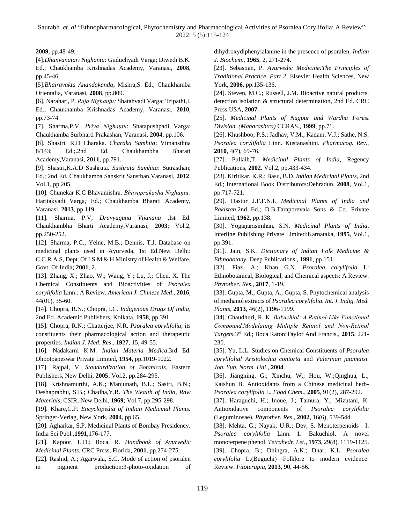**2009**, pp.48-49.

[4].*Dhanvanatari Nighantu*: Guduchyadi Varga; Diwedi B.K. Ed.; Chaukhamba Krishnadas Academy, Varanasi, **2008**, pp.45-46.

[5].*Bhairavakta Anandakanda*; Mishra,S. Ed.; Chaukhamba Orientalia, Varanasi, **2008**, pp.809.

[6]. Narahari, P. *Raja Nighaṇṭu:* Shatahvadi Varga; Tripathi,I. Ed.; Chaukhamba Krishnadas Academy, Varanasi, **2010**, pp.73-74.

[7]. Sharma,P.V. *Priya Nighaṇṭu*: Shatapushpadi Varga: Chaukhamba Surbharti Prakashan, Varanasi, **2004**, pp.106.

[8]. Shastri, R.D Charaka. *Charaka Samhita*: Vimansthna 8/143; Ed.;.2nd Ed. Chaukhambha Bharati Academy,Varanasi, **2011**, pp.791.

[9]. Shastri,K.A.D Sushruta. *Sushruta Samhita*: Sutrasthan; Ed.; 2nd Ed. Chaukhamba Sanskrit Sansthan,Varanasi, **2012**, Vol.1, pp.205.

[10]. Chunekar K.C Bhavamishra. *Bhavaprakasha Nighaṇṭu:* Haritakyadi Varga*;* Ed.; Chaukhamba Bharati Academy, Varanasi, **2013**, pp.119.

[11]. Sharma, P.V, *Dravyaguna Vijanana* ,Ist Ed. Chaukhambha Bharti Academy,Varanasi, **2003**; Vol.2, pp.250-252.

[12]. Sharma, P.C.; Yelne, M.B.; Dennis, T.J. Database on medicinal plants used in Ayurveda, 1st Ed.New Delhi: C.C.R.A.S, Dept. Of I.S.M & H Ministry of Health & Welfare, Govt. Of India; **2001**, 2.

[13]. Zhang, X.; Zhao, W.; Wang, Y.; Lu, J.; Chen, X. The Chemical Constituents and Bioactivities of *Psoralea corylifolia* Linn.: A Review. *American J. Chinese Med*., **2016**, 44(01), 35-60.

[14]. Chopra, R.N.; Chopra, I.C. *Indigenous Drugs Of India*, 2nd Ed. Academic Publishers, Kolkata, **1958**, pp.391.

[15]. Chopra, R.N.; Chatterjee, N.R. *Psoralea corylifolia,* its constituents their pharmacological action and therapeutic properties. *Indian J. Med. Res*., **1927**, 15, 49-55.

[16]. Nadakarni K.M. *Indian Materia Medica*.3rd Ed. Dhootpapeswar Private Limited, **1954**, pp.1019-1022.

[17]. Rajpal, V. *Standardization of Botanicals*, Eastern Publishers, New Delhi, **2005**; Vol.2, pp.284-295.

[18]. Krishnamurthi, A.K.; Manjunath, B.L.; Sastri, B.N.; Deshaprabhu, S.B.; Chadha,Y.R. *The Wealth of India, Raw Materials*, CSIR, New Delhi, **1969**; Vol.7, pp.295-298.

[19]. Khare,C.P. *Encyclopedia of Indian Medicinal Plants.*  Springer-Verlag, New York, **2004**, pp.65.

[20]. Agharkar, S.P. Medicinal Plants of Bombay Presidency. India Sci.Publ.,**1991**,176-177.

[21]. Kapoor, L.D.; Boca, R. *Handbook of Ayurvedic Medicinal Plants.* CRC Press, Florida, **2001**, pp.274-275.

[22]. Rashid, A.; Agarwala, S.C. Mode of action of psoralen in pigment production:3-photo-oxidation of dihydroxydiphenylalanine in the presence of psoralen. *Indian J. Biochem*., **1965**, 2, 271-274.

[23]. Sebastian, P. *Ayurvedic Medicine:The Principles of Traditional Practice, Part 2*, Elsevier Health Sciences, New York, **2006**, pp.135-136.

[24]. Steven, M.C.; Russell, J.M*.* Bioactive natural products, detection isolation & structural determination, 2nd Ed. CRC Press:USA, **2007**.

[25]. *Medicinal Plants of Nagpur and Wardha Forest Division. (Maharashtra)* CCRAS., **1999**, pp.71.

[26]. Khushboo, P.S.; Jadhav, V.M.; Kadam, V.J.; Sathe, N.S. *Psoralea corylifolia* Linn. Kustanashini. *Pharmacog. Rev*., **2010**, 4(7), 69-76.

[27]. Pullaih,T. *Medicinal Plants of India*, Regency Publications, **2002**. Vol.2, pp.433-434.

[28]. Kiritikar, K.R.; Basu, B.D. *Indian Medicinal Plants*, 2nd Ed.; International Book Distributors:Dehradun, **2008**, Vol.1, pp.717-721.

[29]. Dastur J.F.F.N.I. *Medicinal Plants of India and Pakistan*,2nd Ed.; D.B.Taraporevala Sons & Co. Private Limited, **1962**, pp.138.

[30]. Yogaṇarasimhan, S.N. *Medicinal Plants of India*. Interline Publishing Private Limited:Karnataka, **1995**, Vol.1, pp.391.

[31]. Jain, S.K. *Dictionary of Indian Folk Medicine & Ethnobotany*. Deep Publications., **1991**, pp.151.

[32]. Fiaz, A.; Khan G.N. *Psoralea corylifolia* L: Ethnobotanical, Biological, and Chemical aspects: A Review. *Phytother. Res*., **2017**, 1-19.

[33]. Gupta, M.; Gupta, A.; Gupta, S. Phytochemical analysis of methanol extracts of *Psoralea corylifolia. Int. J. Indig. Med. Plants*, **2013**, 46(2), 1196-1199.

[34]. Chaudhuri, R. K. *Bakuchiol: A Retinol‐Like Functional Compound,Modulating Multiple Retinol and Non‐Retinol Targets*,3rd Ed.; Boca Raton:Taylor And Francis., **2015**, 221- 230.

[35]. Yu, L.L. Studies on Chemical Constituents of *Psoralea corylifolial Aristolochia contorta* and *Valerinan jatamaisi. Jon. Yun. Norm. Uni*., **2004**.

[36]. Jiangning, G.; Xinchu, W.; Hou, W.;Qinghua, L.; Kaishun B. Antioxidants from a Chinese medicinal herb-*Psoralea corylifolia* L. *Food Chem*., **2005**, 91(2), 287-292.

[37]. Haraguchi, H.; Inoue, J.; Tamura, Y.; Mizutani, K. Antioxidative components of *Psoralea corylifolia* (Leguminosae). *Phytother. Res*., **2002**, 16(6), 539-544.

[38]. Mehta, G.; Nayak, U.R.; Dev, S. Menoterpenoids—I: *Psoralea corylifolia* Linn.—1. Bakuchiol, A novel monoterpene phenol. *Tetrahedr. Let*., **1973**, 29(8), 1119-1125. [39]. Chopra, B.; Dhingra, A.K.; Dhar, K.L. *Psoralea corylifolia* L.(Buguchi)—Folklore to modern evidence: Review. *Fitoterapia*, **2013**, 90, 44-56.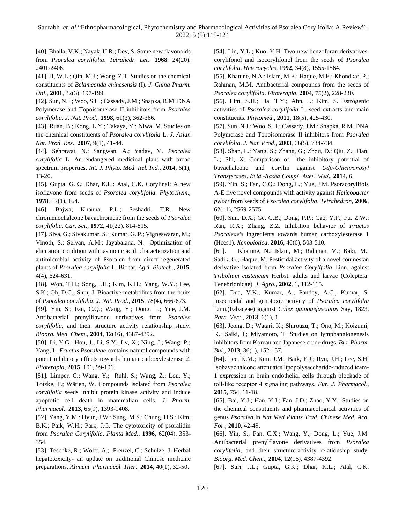[40]. Bhalla, V.K.; Nayak, U.R.; Dev, S. Some new flavonoids from *Psoralea corylifolia*. *Tetrahedr. Let.*, **1968**, 24(20), 2401-2406.

[41]. Ji, W.L.; Qin, M.J.; Wang, Z.T. Studies on the chemical constituents of *Belamcanda chinesensis* (I). *J. China Pharm. Uni*., **2001**, 32(3), 197-199.

[42]. Sun, N.J.; Woo, S.H.; Cassady, J.M.; Snapka, R.M. DNA Polymerase and Topoisomerase II inhibitors from *Psoralea corylifolia*. *J. Nat. Prod*., **1998**, 61(3), 362-366.

[43]. Ruan, B.; Kong, L.Y.; Takaya, Y.; Niwa, M. Studies on the chemical constituents of *Psoralea corylifolia* L. *J. Asian Nat. Prod. Res*., **2007**, 9(1), 41-44.

[44]. Sehrawat, N.; Sangwan, A.; Yadav, M. *Psoralea corylifolia* L. An endangered medicinal plant with broad spectrum properties. *Int. J. Phyto. Med. Rel. Ind*., **2014**, 6(1), 13-20.

[45]. Gupta, G.K.; Dhar, K.L.; Atal, C.K. Corylinal: A new isoflavone from seeds of *Psoralea corylifolia*. *Phytochem*., **1978**, 17(1), 164.

[46]. Bajwa; Khanna, P.L.; Seshadri, T.R. New chromenochalcone bavachromene from the seeds of *Psoralea corylifolia*. *Cur. Sci*., **1972**, 41(22), 814-815.

[47]. Siva, G.; Sivakumar, S.; Kumar, G. P.; Vigneswaran, M.; Vinoth, S.; Selvan, A.M.; Jayabalana, N. Optimization of elicitation condition with jasmonic acid, characterization and antimicrobial activity of Psoralen from direct regenerated plants of *Psoralea corylifolia* L. Biocat. *Agri. Biotech*., **2015**, 4(4), 624-631.

[48]. Won, T.H.; Song, I.H.; Kim, K.H.; Yang, W.Y.; Lee, S.K.; Oh, D.C.; Shin, J. Bioactive metabolites from the fruits of *Psoralea corylifolia*. *J. Nat. Prod*., **2015**, 78(4), 666-673.

[49]. Yin, S.; Fan, C.Q.; Wang, Y.; Dong, L.; Yue, J.M. Antibacterial prenylflavone derivatives from *Psoralea corylifolia*, and their structure activity relationship study. *Bioorg. Med. Chem*., **2004**, 12(16), 4387-4392.

[50]. Li, Y.G.; Hou, J.; Li, S.Y.; Lv, X.; Ning, J.; Wang, P.; Yang, L. *Fructus Psoraleae* contains natural compounds with potent inhibitory effects towards human carboxylesterase 2. *Fitoterapia*, **2015**, 101, 99-106.

[51]. Limper, C.; Wang, Y.; Ruhl, S.; Wang, Z.; Lou, Y.; Totzke, F.; Wätjen, W. Compounds isolated from *Psoralea corylifolia* seeds inhibit protein kinase activity and induce apoptotic cell death in mammalian cells. *J. Pharm. Pharmacol*., **2013**, 65(9), 1393-1408.

[52]. Yang, Y.M.; Hyun, J.W.; Sung, M.S.; Chung, H.S.; Kim, B.K.; Paik, W.H.; Park, J.G. The cytotoxicity of psoralidin from *Psoralea Corylifolia*. *Planta Med.*, **1996**, 62(04), 353- 354.

[53]. Teschke, R.; Wolff, A.; Frenzel, C.; Schulze, J. Herbal hepatotoxicity- an update on traditional Chinese medicine preparations. *Aliment. Pharmacol. Ther*., **2014**, 40(1), 32-50.

[54]. Lin, Y.L.; Kuo, Y.H. Two new benzofuran derivatives, corylifonol and isocorylifonol from the seeds of *Psoralea corylifolia*. *Heterocycles*, **1992**, 34(8), 1555-1564.

[55]. Khatune, N.A.; Islam, M.E.; Haque, M.E.; Khondkar, P.; Rahman, M.M. Antibacterial compounds from the seeds of *Psoralea corylifolia*. *Fitoterapia*, **2004**, 75(2), 228-230.

[56]. Lim, S.H.; Ha, T.Y.; Ahn, J.; Kim, S. Estrogenic activities of *Psoralea corylifolia* L. seed extracts and main constituents. *Phytomed*., **2011**, 18(5), 425-430.

[57]. Sun, N.J.; Woo, S.H.; Cassady, J.M.; Snapka, R.M. DNA Polymerase and Topoisomerase II inhibitors from *Psoralea corylifolia*. *J. Nat. Prod*., **2003**, 66(5), 734-734.

[58]. Shan, L.; Yang, S.; Zhang, G.; Zhou, D.; Qiu, Z.; Tian, L.; Shi, X. Comparison of the inhibitory potential of bavachalcone and corylin against *Udp‐Glucuronosyl Transferases*. *Evid.‐Based Compl. Alter. Med*., **2014**, 6.

[59]. Yin, S.; Fan, C.Q.; Dong, L.; Yue, J.M. Psoracorylifols A-E five novel compounds with activity against *Helicobacter pylori* from seeds of *Psoralea corylifolia*. *Tetrahedron*, **2006**, 62(11), 2569-2575.

[60]. Sun, D.X.; Ge, G.B.; Dong, P.P.; Cao, Y.F.; Fu, Z.W.; Ran, R.X.; Zhang, Z.Z. Inhibition behavior of *Fructus Psoraleae's* ingredients towards human carboxylesterase 1 (Hces1). *Xenobiotica*, **2016**, 46(6), 503-510.

[61]. Khatune, N.; Islam, M.; Rahman, M.; Baki, M.; Sadik, G.; Haque, M. Pesticidal activity of a novel coumestan derivative isolated from *Psoralea Corylifolia* Linn. against *Tribolium casteneum* Herbst. adults and larvae (Coleptera: Tenebrionidae). *J. Agro*., **2002**, 1, 112-115.

[62]. Dua, V.K.; Kumar, A.; Pandey, A.C.; Kumar, S. Insecticidal and genotoxic activity of *Psoralea corylifolia* Linn.(Fabaceae) against *Culex quinquefasciatus* Say, 1823. *Para. Vect*., **2013**, 6(1), 1.

[63]. Jeong, D.; Watari, K.; Shirouzu, T.; Ono, M.; Koizumi, K.; Saiki, I.; Miyamoto, T. Studies on lymphangiogenesis inhibitors from Korean and Japanese crude drugs. *Bio. Pharm. Bul*., **2013**, 36(1), 152-157.

[64]. Lee, K.M.; Kim, J.M.; Baik, E.J.; Ryu, J.H.; Lee, S.H. Isobavachalcone attenuates lipopolysaccharide‐induced icam‐ 1 expression in brain endothelial cells through blockade of toll‐like receptor 4 signaling pathways. *Eur. J. Pharmacol*., **2015**, 754, 11-18.

[65]. Bai, Y.J.; Han, Y.J.; Fan, J.D.; Zhao, Y.Y.; Studies on the chemical constituents and pharmacological activities of genus *Psoralea*.In *Nat Med Plants Trad. Chinese Med. Aca. For*., **2010**, 42-49.

[66]. Yin, S.; Fan, C.X.; Wang, Y.; Dong, L.; Yue, J.M. Antibacterial prenylflavone derivatives from *Psoralea corylifolia*, and their structure-activity relationship study. *Bioorg. Med. Chem*., **2004**, 12(16), 4387-4392.

[67]. Suri, J.L.; Gupta, G.K.; Dhar, K.L.; Atal, C.K.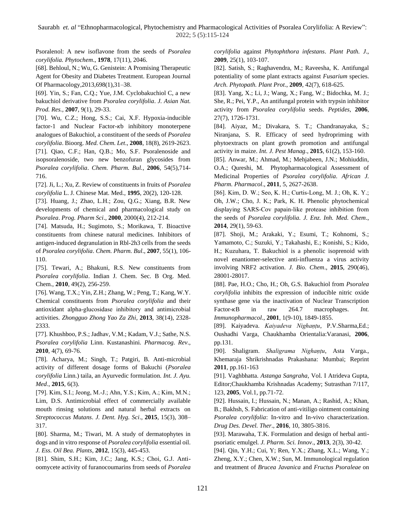Psoralenol: A new isoflavone from the seeds of *Psoralea corylifolia. Phytochem*., **1978**, 17(11), 2046.

[68]. Behloul, N.; Wu, G. Genistein: A Promising Therapeutic Agent for Obesity and Diabetes Treatment. European Journal Of Pharmacology,2013,698(1),31–38.

[69]. Yin, S.; Fan, C.Q.; Yue, J.M. Cyclobakuchiol C, a new bakuchiol derivative from *Psoralea corylifolia*. *J. Asian Nat. Prod. Res.,* **2007**, 9(1), 29-33.

[70]. Wu, C.Z.; Hong, S.S.; Cai, X.F. Hypoxia-inducible factor-1 and Nuclear Factor- $kb$  inhibitory monoterpene analogues of Bakuchiol, a constituent of the seeds of *Psoralea corylifolia*. Bioorg. *Med. Chem. Let*., **2008**, 18(8), 2619-2623. [71]. Qiao, C.F.; Han, Q.B.; Mo, S.F. Psoralenoside and isopsoralenoside, two new benzofuran glycosides from *Psoralea corylifolia*. *Chem. Pharm. Bul.*, **2006**, 54(5),714- 716.

[72]. Ji, L.; Xu, Z. Review of constituents in fruits of *Psoralea corylifolia* L. J. Chinese Mat. Med., **1995**, 20(2), 120-128.

[73]. Huang, J.; Zhao, L.H.; Zou, Q.G.; Xiang, B.R. New developments of chemical and pharmacological study on *Psoralea*. *Prog. Pharm Sci*., **2000**, 2000(4), 212-214.

[74]. Matsuda, H.; Sugimoto, S.; Morikawa, T. Bioactive constituents from chinese natural medicines. Inhibitors of antigen-induced degranulation in Rbl-2h3 cells from the seeds of *Psoralea corylifolia*. *Chem. Pharm. Bul*., **2007**, 55(1), 106- 110.

[75]. Tewari, A.; Bhakuni, R.S. New constituents from *Psoralea corylifolia*. Indian J. Chem. Sec. B Org. Med. Chem., **2010**, 49(2), 256-259.

[76]. Wang, T.X.; Yin, Z.H.; Zhang, W.; Peng, T.; Kang, W.Y. Chemical constituents from *Psoralea corylifolia* and their antioxidant alpha‐glucosidase inhibitory and antimicrobial activities. *Zhongguo Zhong Yao Za Zhi*, **2013**, 38(14), 2328- 2333.

[77]. Khushboo, P.S.; Jadhav, V.M.; Kadam, V.J.; Sathe, N.S. *Psoralea corylifolia* Linn. Kustanashini. *Pharmacog. Rev*., **2010**, 4(7), 69-76.

[78]. Acharya, M.; Singh, T.; Patgiri, B. Anti-microbial activity of different dosage forms of Bakuchi (*Psoralea corylifolia* Linn.) taila, an Ayurvedic formulation. *Int. J. Ayu. Med*., **2015**, 6(3).

[79]. Kim, S.I.; Jeong, M.‐J.; Ahn, Y.S.; Kim, A.; Kim, M.N.; Lim, D.S. Antimicrobial effect of commercially available mouth rinsing solutions and natural herbal extracts on *Streptococcus Mutans*. *J. Dent. Hyg. Sci*., **2015**, 15(3), 308– 317.

[80]. Sharma, M.; Tiwari, M. A study of dermatophytes in dogs and in vitro response of *Psoralea corylifolia* essential oil. *J. Ess. Oil Bea. Plants*, **2012**, 15(3), 445-453.

[81]. Shim, S.H.; Kim, J.C.; Jang, K.S.; Choi, G.J. Antioomycete activity of furanocoumarins from seeds of *Psoralea*  *corylifolia* against *Phytophthora infestans*. *Plant Path. J*., **2009**, 25(1), 103-107.

[82]. Satish, S.; Raghavendra, M.; Raveesha, K. Antifungal potentiality of some plant extracts against *Fusarium* species. *Arch. Phytopath. Plant Prot*., **2009**, 42(7), 618-625.

[83]. Yang, X.; Li, J.; Wang, X.; Fang, W.; Bidochka, M. J.; She, R.; Pei, Y.P., An antifungal protein with trypsin inhibitor activity from *Psoralea corylifolia* seeds. *Peptides*, **2006**, 27(7), 1726-1731.

[84]. Aiyaz, M.; Divakara, S. T.; Chandranayaka, S.; Niranjana, S. R. Efficacy of seed hydropriming with phytoextracts on plant growth promotion and antifungal activity in maize. *Int. J. Pest Manag*., **2015**, 61(2), 153-160.

[85]. Anwar, M.; Ahmad, M.; Mehjabeen, J.N.; Mohiuddin, O.A.; Qureshi, M. Phytopharmacological Assessment of Medicinal Properties of *Psoralea corylifolia*. *African J. Pharm. Pharmacol*., **2011**, 5, 2627-2638.

[86]. Kim, D. W.; Seo, K. H.; Curtis‐Long, M. J.; Oh, K. Y.; Oh, J.W.; Cho, J. K.; Park, K. H. Phenolic phytochemical displaying SARS‐Cov papain‐like protease inhibition from the seeds of *Psoralea corylifolia. J. Enz. Inh. Med. Chem*., **2014**, 29(1), 59-63.

[87]. Shoji, M.; Arakaki, Y.; Esumi, T.; Kohnomi, S.; Yamamoto, C.; Suzuki, Y.; Takahashi, E.; Konishi, S.; Kido, H.; Kuzuhara, T. Bakuchiol is a phenolic isoprenoid with novel enantiomer-selective anti-influenza a virus activity involving NRF2 activation. *J. Bio. Chem*., **2015**, 290(46), 28001-28017.

[88]. Pae, H.O.; Cho, H.; Oh, G.S. Bakuchiol from *Psoralea corylifolia* inhibits the expression of inducible nitric oxide synthase gene via the inactivation of Nuclear Transcription Factor- $\kappa$ B in raw 264.7 macrophages. *Int. Immunopharmacol*., **2001**, 1(9-10), 1849-1855.

[89]. Kaiyadeva. *Kaiyadeva Nighaṇṭu*, P.V.Sharma,Ed.; Oushadhi Varga, Chaukhamba Orientalia:Varanasi, **2006**, pp.131.

[90]. Shaligram. *Shaligrama Nighaṇṭu*, Asta Varga., Khemaraja Shrikrishnadas Prakashana: Mumbai; Reprint **2011**, pp.161-163

[91]. Vaghbhatta. *Astanga Sangraha*, Vol. I Atrideva Gupta, Editor;Chaukhamba Krishnadas Academy; Sutrasthan 7/117, 123, **2005**, Vol.1, pp.71-72.

[92]. Hussain, I.; Hussain, N.; Manan, A.; Rashid, A.; Khan, B.; Bakhsh, S. Fabrication of anti-vitiligo ointment containing *Psoralea corylifolia*: In-vitro and In-vivo characterization. *Drug Des. Devel. Ther*., **2016**, 10, 3805-3816.

[93]. Marawaha, T.K. Formulation and design of herbal antipsoriatic emulgel*. J. Pharm. Sci. Innov*., **2013**, 2(3), 30-42.

[94]. Qin, Y.H.; Cui, Y; Ren, Y.X.; Zhang, X.L.; Wang, Y.; Zheng, X.Y.; Chen, X.W.; Sun, M. Immunological regulation and treatment of *Brucea Javanica* and *Fructus Psoraleae* on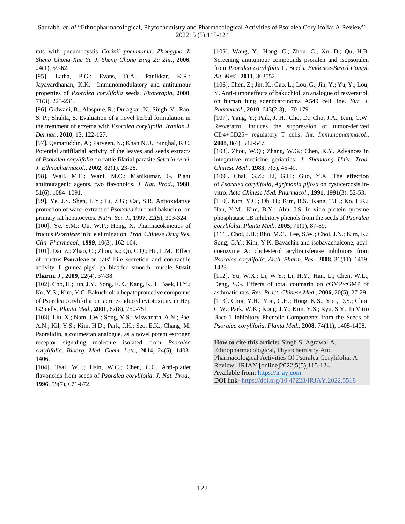rats with pneumocystis *Carinii pneumonia*. *Zhongguo Ji Sheng Chong Xue Yu Ji Sheng Chong Bing Za Zhi*., **2006**, 24(1), 59-62.

[95]. Latha, P.G.; Evans, D.A.; Panikkar, K.R.; Jayavardhanan, K.K. Immunomodulatory and antitumour properties of *Psoralea corylifolia* seeds. *Fitoterapia*, **2000**, 71(3), 223-231.

[96]. Gidwani, B.; Alaspure, R.; Duragkar, N.; Singh, V.; Rao, S. P.; Shukla, S. Evaluation of a novel herbal formulation in the treatment of eczema with *Psoralea corylifolia*. *Iranian J. Dermat*., **2010**, 13, 122-127.

[97]. Qamaruddin, A.; Parveen, N.; Khan N.U.; Singhal, K.C. Potential antifilarial activity of the leaves and seeds extracts of *Psoralea corylifolia* on cattle filarial parasite *Setaria cervi*. *J. Ethnopharmacol*., **2002**, 82(1), 23-28.

[98]. Wall, M.E.; Wani, M.C.; Manikumar, G. Plant antimutagenic agents, two flavonoids. *J. Nat. Prod*., **1988**, 51(6), 1084–1091.

[99]. Ye, J.S. Shen, L.Y.; Li, Z.G.; Cai, S.R. Antioxidative protection of water extract of *Psoralea* fruit and bakuchiol on primary rat hepatocytes. *Nutri. Sci. J*., **1997**, 22(5), 303-324.

[100]. Ye, S.M.; Ou, W.P.; Hong, X. Pharmacokinetics of fructus *Psoraleae* in bile elimination. *Trad. Chinese Drug Res. Clin. Pharmacol*., **1999**, 10(3), 162-164.

[101]. Dai, Z.; Zhao, C.; Zhou, K.; Qu, C.Q.; Hu, L.M. Effect of fructus **Psoraleae** on rats' bile secretion and contractile activity f guinea-pigs' gallbladder smooth muscle. **Strait Pharm. J***.*, **2009**, 22(4), 37-38.

[102]. Cho, H.; Jun, J.Y.; Song, E.K.; Kang, K.H.; Baek, H.Y.; Ko, Y.S.; Kim, Y.C. Bakuchiol: a hepatoprotective compound of Psoralea corylifolia on tacrine-induced cytotoxicity in Hep G2 cells. *Planta Med*., **2001**, 67(8), 750-751.

[103]. Liu, X.; Nam, J.W.; Song, Y.S.; Viswanath, A.N.; Pae, A.N.; Kil, Y.S.; Kim, H.D.; Park, J.H.; Seo, E.K.; Chang, M. Psoralidin, a coumestan analogue, as a novel potent estrogen receptor signaling molecule isolated from *Psoralea corylifolia*. *Bioorg. Med. Chem. Lett*., **2014**, 24(5), 1403- 1406.

[104]. Tsai, W.J.; Hsin, W.C.; Chen, C.C. Anti-platlet flavonoids from seeds of *Psoralea corylifolia*. *J. Nat. Prod*., **1996**, 59(7), 671-672.

[105]. Wang, Y.; Hong, C.; Zhou, C.; Xu, D.; Qu, H.B. Screening antitumour compounds psoralen and isopsoralen from *Psoralea corylifolia* L. Seeds. *Evidence-Based Compl. Alt. Med.*, **2011**, 363052.

[106]. Chen, Z.; Jin, K.; Gao, L.; Lou, G.; Jin, Y.; Yu, Y.; Lou, Y. Anti-tumor effects of bakuchiol, an analogue of resveratrol, on human lung adenocarcinoma A549 cell line. *Eur. J. Pharmacol*., **2010**, 643(2-3), 170-179.

[107]. Yang, Y.; Paik, J. H.; Cho, D.; Cho, J.A.; Kim, C.W. Resveratrol induces the suppression of tumor-derived CD4+CD25+ regulatory T cells. *Int. Immunopharmacol*., **2008**, 8(4), 542-547.

[108]. Zhou, W.Q.; Zhang, W.G.; Chen, K.Y. Advances in integrative medicine geriatrics. *J. Shandong Univ. Trad. Chinese Med*., **1983**, 7(3), 45-49.

[109]. Chai, G.Z.; Li, G.H.; Guo, Y.X. The effection of *Psoralea corylifolia*, *Agrjmonia pijosa* on cysticercosis invitro. *Acta Chinese Med. Pharmacol*., **1991**, 1991(3), 52-53.

[110]. Kim, Y.C.; Oh, H.; Kim, B.S.; Kang, T.H.; Ko, E.K.; Han, Y.M.; Kim, B.Y.; Ahn, J.S. In vitro protein tyrosine phosphatase 1B inhibitory phenols from the seeds of *Psoralea corylifolia*. *Planta Med*., **2005**, 71(1), 87-89.

[111]. Choi, J.H.; Rho, M.C.; Lee, S.W.; Choi, J.N.; Kim, K.; Song, G.Y.; Kim, Y.K. Bavachin and isobavachalcone, acylcoenzyme A: cholesterol acyltransferase inhibitors from *Psoralea corylifolia*. *Arch. Pharm. Res*., **2008**, 31(11), 1419- 1423.

[112]. Yu, W.X.; Li, W.Y.; Li, H.Y.; Han, L.; Chen, W.L.; Deng, S.G. Effects of total coumarin on cGMP/cGMP of asthmatic rats. *Res. Pract. Chinese Med*., **2006**, 20(5), 27-29. [113]. Choi, Y.H.; Yon, G.H.; Hong, K.S.; Yoo, D.S.; Choi, C.W.; Park, W.K.; Kong, J.Y.; Kim, Y.S.; Ryu, S.Y. In Vitro Bace-1 Inhibitory Phenolic Components from the Seeds of *Psoralea corylifolia*. *Planta Med*., **2008**, 74(11), 1405-1408.

**How to cite this article:** Singh S, Agrawal A, Ethnopharmacological, Phytochemistry And Pharmacological Activities Of Psoralea Corylifolia: A Review" IRJAY.[online]2022;5(5);115-124. Available from: [https://irjay.com](https://irjay.com/) DOI link- https://doi.org/10.47223/IRJAY.2022.5518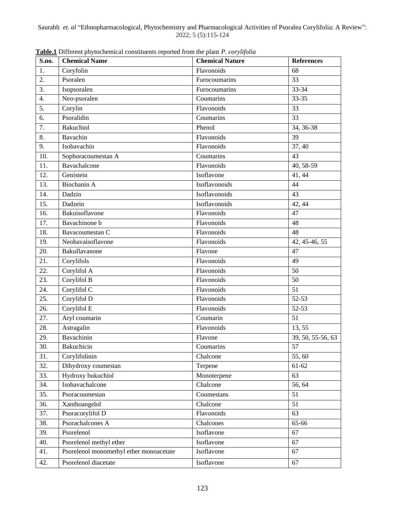| S.no.            | <b>Chemical Name</b>                    | <b>Chemical Nature</b> | <b>References</b> |
|------------------|-----------------------------------------|------------------------|-------------------|
| 1.               | Coryfolin                               | Flavonoids             | 68                |
| 2.               | Psoralen                                | Furocoumarins          | 33                |
| 3.               | Isopsoralen                             | Furocoumarins          | 33-34             |
| 4.               | Neo-psoralen                            | Coumarins              | $33 - 35$         |
| 5.               | Corylin                                 | Flavonoids             | 33                |
| $\overline{6}$ . | Psoralidin                              | Coumarins              | 33                |
| 7.               | <b>Bakuchiol</b>                        | Phenol                 | 34, 36-38         |
| 8.               | Bavachin                                | Flavonoids             | 39                |
| 9.               | Isobavachin                             | Flavonoids             | 37, 40            |
| 10.              | Sophoracoumestan A                      | Coumarins              | $\overline{43}$   |
| 11.              | Bavachalcone                            | Flavonoids             | 40, 58-59         |
| 12.              | Genistein                               | Isoflavone             | 41, 44            |
| 13.              | Biochanin A                             | Isoflavonoids          | $\overline{44}$   |
| 14.              | Dadzin                                  | Isoflavonoids          | 43                |
| 15.              | Dadzein                                 | Isoflavonoids          | 42, 44            |
| 16.              | Bakuisoflavone                          | Flavonoids             | 47                |
| 17.              | Bavachinone b                           | Flavonoids             | 48                |
| 18.              | Bavacoumestan C                         | Flavonoids             | 48                |
| 19.              | Neobavaisoflavone                       | Flavonoids             | 42, 45-46, 55     |
| 20.              | Bakuflavanone                           | Flavone                | 47                |
| 21.              | Corylifols                              | Flavonoids             | 49                |
| 22.              | Corylifol A                             | Flavonoids             | 50                |
| 23.              | Corylifol B                             | Flavonoids             | $\overline{50}$   |
| 24.              | Corylifol C                             | Flavonoids             | 51                |
| 25.              | Corylifol D                             | Flavonoids             | $52 - 53$         |
| 26.              | Corylifol E                             | Flavonoids             | $52 - 53$         |
| 27.              | Aryl coumarin                           | Coumarin               | 51                |
| 28.              | Astragalin                              | Flavonoids             | 13, 55            |
| 29.              | Bavachinin                              | Flavone                | 39, 50, 55-56, 63 |
| 30.              | Bakuchicin                              | Coumarins              | 57                |
| 31.              | Corylifolinin                           | Chalcone               | 55,60             |
| 32.              | Dihydroxy coumestan                     | Terpene                | $61 - 62$         |
| 33.              | Hydroxy bukuchiol                       | Monoterpene            | 63                |
| 34.              | Isobavachalcone                         | Chalcone               | 56, 64            |
| 35.              | Psoracoumestan                          | Coumestans             | 51                |
| 36.              | Xanthoangelol                           | Chalcone               | 51                |
| 37.              | Psoracorylifol D                        | Flavonoids             | 63                |
| 38.              | Psorachalcones A                        | Chalcones              | 65-66             |
| 39.              | Psorelenol                              | Isoflavone             | 67                |
| 40.              | Psorelenol methyl ether                 | Isoflavone             | 67                |
| 41.              | Psorelenol monomethyl ether monoacetate | Isoflavone             | 67                |
| 42.              | Psorelenol diacetate                    | Isoflavone             | 67                |

**Table.1** Different phytochemical constituents reported from the plant *P. corylifolia*